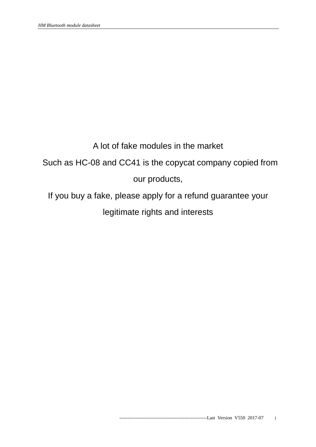## A lot of fake modules in the market

Such as HC-08 and CC41 is the copycat company copied from

our products,

If you buy a fake, please apply for a refund guarantee your legitimate rights and interests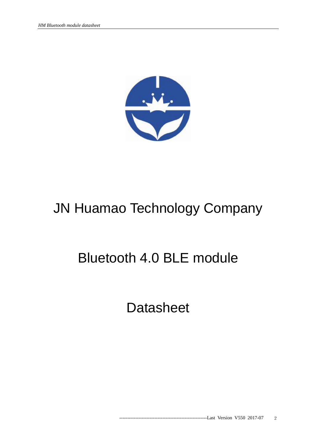

# JN Huamao Technology Company

## Bluetooth 4.0 BLE module

**Datasheet**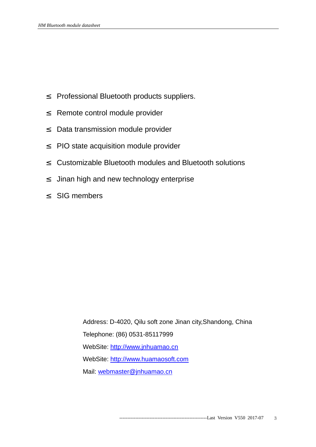- <sup>2</sup> Professional Bluetooth products suppliers.
- <sup>2</sup> Remote control module provider
- <sup>2</sup> Data transmission module provider
- ² PIO state acquisition module provider
- ² Customizable Bluetooth modules and Bluetooth solutions
- <sup>2</sup> Jinan high and new technology enterprise
- ² SIG members

Address: D-4020, Qilu soft zone Jinan city,Shandong, China Telephone: (86) 0531-85117999 WebSite: <http://www.jnhuamao.cn> WebSite: <http://www.huamaosoft.com> Mail: [webmaster@jnhuamao.cn](mailto:webmaster@jnhuamao.cn)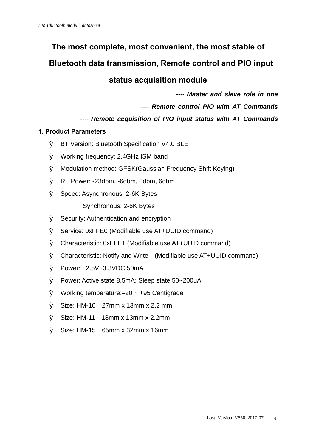## **The most complete, most convenient, the most stable of**

## **Bluetooth data transmission, Remote control and PIO input**

## **status acquisition module**

*---- Master and slave role in one* 

*---- Remote control PIO with AT Commands* 

#### *---- Remote acquisition of PIO input status with AT Commands*

#### **1. Product Parameters**

- Ø BT Version: Bluetooth Specification V4.0 BLE
- Ø Working frequency: 2.4GHz ISM band
- Ø Modulation method: GFSK(Gaussian Frequency Shift Keying)
- Ø RF Power: -23dbm, -6dbm, 0dbm, 6dbm
- Ø Speed: Asynchronous: 2-6K Bytes

Synchronous: 2-6K Bytes

- Ø Security: Authentication and encryption
- Ø Service: 0xFFE0 (Modifiable use AT+UUID command)
- Ø Characteristic: 0xFFE1 (Modifiable use AT+UUID command)
- Ø Characteristic: Notify and Write (Modifiable use AT+UUID command)
- Ø Power: +2.5V~3.3VDC 50mA
- Ø Power: Active state 8.5mA; Sleep state 50~200uA
- $\emptyset$  Working temperature: -20 ~ +95 Centigrade
- Ø Size: HM-10 27mm x 13mm x 2.2 mm
- $\varnothing$  Size: HM-11 18mm x 13mm x 2.2mm
- $\varnothing$  Size: HM-15 65mm x 32mm x 16mm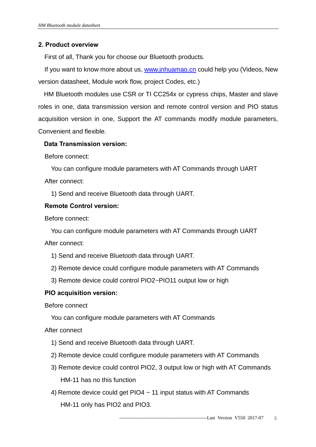#### **2. Product overview**

First of all, Thank you for choose our Bluetooth products.

If you want to know more about us, [www.jnhuamao.cn](http://www.jnhuamao.cn) could help you (Videos, New version datasheet, Module work flow, project Codes, etc.)

HM Bluetooth modules use CSR or TI CC254x or cypress chips, Master and slave roles in one, data transmission version and remote control version and PIO status acquisition version in one, Support the AT commands modify module parameters, Convenient and flexible.

#### **Data Transmission version:**

Before connect:

You can configure module parameters with AT Commands through UART After connect:

1) Send and receive Bluetooth data through UART.

#### **Remote Control version:**

Before connect:

You can configure module parameters with AT Commands through UART

After connect:

- 1) Send and receive Bluetooth data through UART.
- 2) Remote device could configure module parameters with AT Commands
- 3) Remote device could control PIO2~PIO11 output low or high

#### **PIO acquisition version:**

Before connect

You can configure module parameters with AT Commands

After connect

- 1) Send and receive Bluetooth data through UART.
- 2) Remote device could configure module parameters with AT Commands
- 3) Remote device could control PIO2, 3 output low or high with AT Commands HM-11 has no this function
- 4) Remote device could get PIO4 ~ 11 input status with AT Commands HM-11 only has PIO2 and PIO3.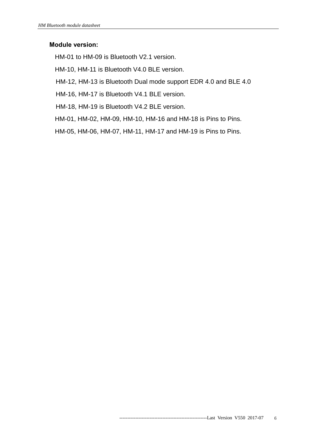#### **Module version:**

HM-01 to HM-09 is Bluetooth V2.1 version.

HM-10, HM-11 is Bluetooth V4.0 BLE version.

HM-12, HM-13 is Bluetooth Dual mode support EDR 4.0 and BLE 4.0

HM-16, HM-17 is Bluetooth V4.1 BLE version.

HM-18, HM-19 is Bluetooth V4.2 BLE version.

HM-01, HM-02, HM-09, HM-10, HM-16 and HM-18 is Pins to Pins.

HM-05, HM-06, HM-07, HM-11, HM-17 and HM-19 is Pins to Pins.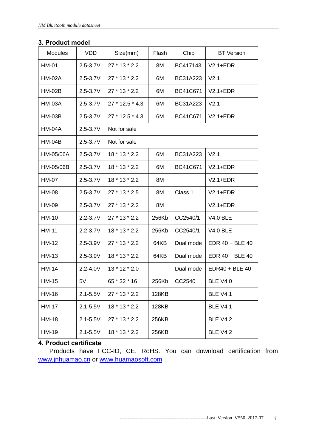#### **3. Product model**

| <b>Modules</b> | <b>VDD</b>   | Size(mm)        | Flash | Chip      | <b>BT</b> Version |
|----------------|--------------|-----------------|-------|-----------|-------------------|
| <b>HM-01</b>   | $2.5 - 3.7V$ | 27 * 13 * 2.2   | 8M    | BC417143  | $V2.1 + EDR$      |
| <b>HM-02A</b>  | $2.5 - 3.7V$ | 27 * 13 * 2.2   | 6M    | BC31A223  | V <sub>2.1</sub>  |
| <b>HM-02B</b>  | $2.5 - 3.7V$ | 27 * 13 * 2.2   | 6M    | BC41C671  | $V2.1 + EDR$      |
| <b>HM-03A</b>  | $2.5 - 3.7V$ | 27 * 12.5 * 4.3 | 6M    | BC31A223  | V <sub>2.1</sub>  |
| <b>HM-03B</b>  | $2.5 - 3.7V$ | 27 * 12.5 * 4.3 | 6M    | BC41C671  | $V2.1 + EDR$      |
| <b>HM-04A</b>  | $2.5 - 3.7V$ | Not for sale    |       |           |                   |
| $HM-04B$       | $2.5 - 3.7V$ | Not for sale    |       |           |                   |
| HM-05/06A      | $2.5 - 3.7V$ | 18 * 13 * 2.2   | 6M    | BC31A223  | V <sub>2.1</sub>  |
| HM-05/06B      | $2.5 - 3.7V$ | 18 * 13 * 2.2   | 6M    | BC41C671  | $V2.1 + EDR$      |
| <b>HM-07</b>   | $2.5 - 3.7V$ | 18 * 13 * 2.2   | 8M    |           | $V2.1 + EDR$      |
| HM-08          | $2.5 - 3.7V$ | 27 * 13 * 2.5   | 8M    | Class 1   | $V2.1 + EDR$      |
| HM-09          | $2.5 - 3.7V$ | 27 * 13 * 2.2   | 8M    |           | $V2.1 + EDR$      |
| <b>HM-10</b>   | $2.2 - 3.7V$ | 27 * 13 * 2.2   | 256Kb | CC2540/1  | <b>V4.0 BLE</b>   |
| <b>HM-11</b>   | $2.2 - 3.7V$ | 18 * 13 * 2.2   | 256Kb | CC2540/1  | <b>V4.0 BLE</b>   |
| <b>HM-12</b>   | 2.5-3.9V     | 27 * 13 * 2.2   | 64KB  | Dual mode | EDR 40 + BLE 40   |
| <b>HM-13</b>   | 2.5-3.9V     | 18 * 13 * 2.2   | 64KB  | Dual mode | EDR 40 + BLE 40   |
| <b>HM-14</b>   | $2.2 - 4.0V$ | $13 * 12 * 2.0$ |       | Dual mode | EDR40 + BLE 40    |
| <b>HM-15</b>   | 5V           | 65 * 32 * 16    | 256Kb | CC2540    | <b>BLE V4.0</b>   |
| HM-16          | $2.1 - 5.5V$ | 27 * 13 * 2.2   | 128KB |           | <b>BLE V4.1</b>   |
| <b>HM-17</b>   | $2.1 - 5.5V$ | 18 * 13 * 2.2   | 128KB |           | <b>BLE V4.1</b>   |
| <b>HM-18</b>   | $2.1 - 5.5V$ | 27 * 13 * 2.2   | 256KB |           | <b>BLE V4.2</b>   |
| HM-19          | $2.1 - 5.5V$ | $18 * 13 * 2.2$ | 256KB |           | <b>BLE V4.2</b>   |

#### **4. Product certificate**

Products have FCC-ID, CE, RoHS. You can download certification from [www.jnhuamao.cn](http://www.jnhuamao.cn) or [www.huamaosoft.com](http://www.huamaosoft.com)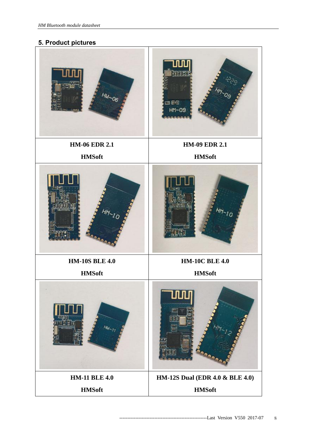## **5. Product pictures**

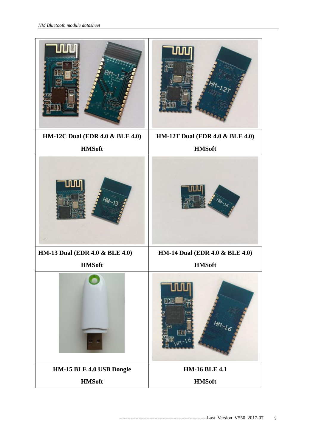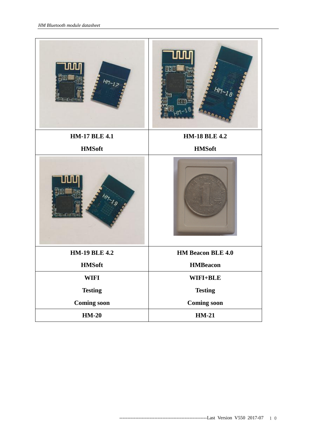| $10 - 12$            | யா                   |
|----------------------|----------------------|
| <b>HM-17 BLE 4.1</b> | <b>HM-18 BLE 4.2</b> |
| <b>HMSoft</b>        | <b>HMSoft</b>        |
| மா                   |                      |
| <b>HM-19 BLE 4.2</b> | HM Beacon BLE 4.0    |
| <b>HMSoft</b>        | <b>HMBeacon</b>      |
| WIFI                 | WIFI+BLE             |
| <b>Testing</b>       | <b>Testing</b>       |
| <b>Coming soon</b>   | <b>Coming soon</b>   |
| $HM-20$              | $HM-21$              |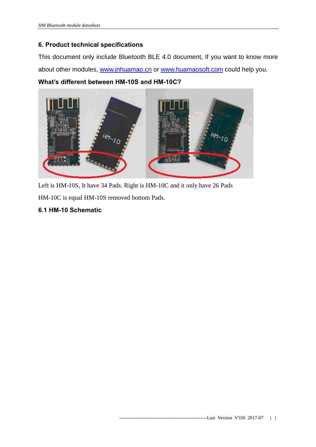#### **6. Product technical specifications**

This document only include Bluetooth BLE 4.0 document, If you want to know more about other modules, [www.jnhuamao.cn](http://www.jnhuamao.cn) or [www.huamaosoft.com](http://www.huamaosoft.com) could help you.

#### **What's different between HM-10S and HM-10C?**



Left is HM-10S, It have 34 Pads. Right is HM-10C and it only have 26 Pads

HM-10C is equal HM-10S removed bottom Pads.

**6.1 HM-10 Schematic**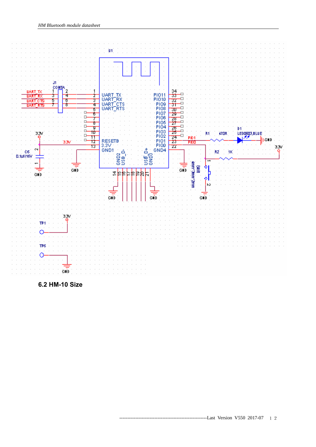

**6.2 HM-10 Size**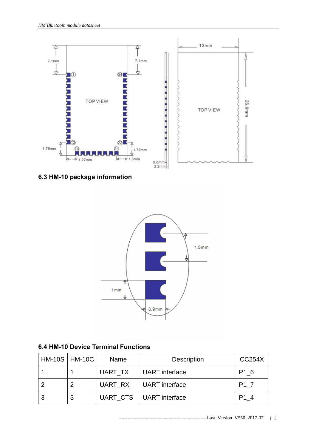

**6.3 HM-10 package information** 



## **6.4 HM-10 Device Terminal Functions**

| $HM-10S$   $HM-10C$ | Name    | <b>Description</b>        | <b>CC254X</b>    |
|---------------------|---------|---------------------------|------------------|
|                     | UART TX | UART interface            | P1 6             |
|                     | UART RX | UART interface            | P <sub>1</sub> 7 |
|                     |         | UART CTS   UART interface | P1 4             |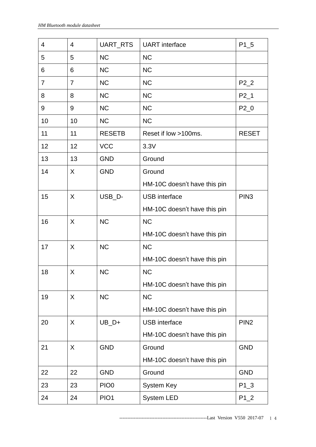| $\overline{4}$ | 4              | UART_RTS         | <b>UART</b> interface        | $P1_5$           |
|----------------|----------------|------------------|------------------------------|------------------|
| 5              | 5              | <b>NC</b>        | <b>NC</b>                    |                  |
| 6              | 6              | <b>NC</b>        | <b>NC</b>                    |                  |
| $\overline{7}$ | $\overline{7}$ | <b>NC</b>        | <b>NC</b>                    | $P2_2$           |
| 8              | 8              | <b>NC</b>        | <b>NC</b>                    | $P2_1$           |
| 9              | 9              | <b>NC</b>        | <b>NC</b>                    | $P2_0$           |
| 10             | 10             | <b>NC</b>        | <b>NC</b>                    |                  |
| 11             | 11             | <b>RESETB</b>    | Reset if low >100ms.         | <b>RESET</b>     |
| 12             | 12             | <b>VCC</b>       | 3.3V                         |                  |
| 13             | 13             | <b>GND</b>       | Ground                       |                  |
| 14             | X              | <b>GND</b>       | Ground                       |                  |
|                |                |                  | HM-10C doesn't have this pin |                  |
| 15             | X              | USB_D-           | <b>USB</b> interface         | PIN <sub>3</sub> |
|                |                |                  | HM-10C doesn't have this pin |                  |
| 16             | X              | <b>NC</b>        | <b>NC</b>                    |                  |
|                |                |                  | HM-10C doesn't have this pin |                  |
| 17             | X              | <b>NC</b>        | <b>NC</b>                    |                  |
|                |                |                  | HM-10C doesn't have this pin |                  |
| 18             | X              | <b>NC</b>        | <b>NC</b>                    |                  |
|                |                |                  | HM-10C doesn't have this pin |                  |
| 19             | X              | <b>NC</b>        | <b>NC</b>                    |                  |
|                |                |                  | HM-10C doesn't have this pin |                  |
| 20             | X              | $UB_D+$          | <b>USB</b> interface         | PIN <sub>2</sub> |
|                |                |                  | HM-10C doesn't have this pin |                  |
| 21             | X              | <b>GND</b>       | Ground                       | <b>GND</b>       |
|                |                |                  | HM-10C doesn't have this pin |                  |
| 22             | 22             | <b>GND</b>       | Ground                       | <b>GND</b>       |
| 23             | 23             | PIO <sub>0</sub> | System Key                   | $P1_3$           |
| 24             | 24             | PIO1             | System LED                   | $P1_2$           |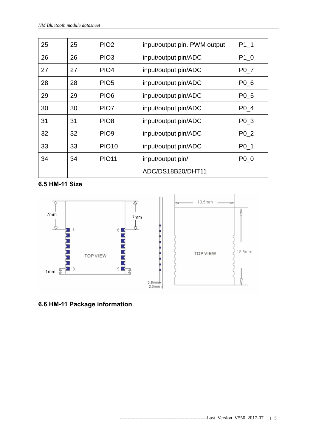| 25 | 25 | PIO <sub>2</sub> | input/output pin. PWM output | P1 1             |
|----|----|------------------|------------------------------|------------------|
| 26 | 26 | PIO <sub>3</sub> | input/output pin/ADC         | P1 0             |
| 27 | 27 | PIO <sub>4</sub> | input/output pin/ADC         | $P0-7$           |
| 28 | 28 | PIO <sub>5</sub> | input/output pin/ADC         | P0 6             |
| 29 | 29 | PIO <sub>6</sub> | input/output pin/ADC         | P <sub>0</sub> 5 |
| 30 | 30 | PIO <sub>7</sub> | input/output pin/ADC         | P0 4             |
| 31 | 31 | PIO <sub>8</sub> | input/output pin/ADC         | P0 3             |
| 32 | 32 | PIO <sub>9</sub> | input/output pin/ADC         | P <sub>0</sub> 2 |
| 33 | 33 | <b>PIO10</b>     | input/output pin/ADC         | P <sub>0</sub> 1 |
| 34 | 34 | <b>PIO11</b>     | input/output pin/            | P0 0             |
|    |    |                  | ADC/DS18B20/DHT11            |                  |

**6.5 HM-11 Size** 



## **6.6 HM-11 Package information**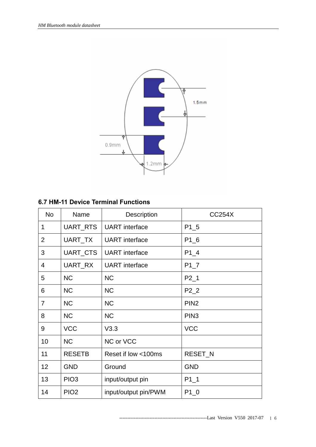

## **6.7 HM-11 Device Terminal Functions**

| <b>No</b>      | Name             | Description           | <b>CC254X</b>    |
|----------------|------------------|-----------------------|------------------|
| 1              | UART_RTS         | <b>UART</b> interface | $P1_5$           |
| $\overline{2}$ | UART_TX          | <b>UART</b> interface | $P1_6$           |
| 3              | UART_CTS         | <b>UART</b> interface | P1 4             |
| $\overline{4}$ | UART_RX          | <b>UART</b> interface | $P1_7$           |
| 5              | <b>NC</b>        | <b>NC</b>             | $P2_1$           |
| 6              | <b>NC</b>        | <b>NC</b>             | $P2_2$           |
| 7              | <b>NC</b>        | <b>NC</b>             | PIN <sub>2</sub> |
| 8              | <b>NC</b>        | <b>NC</b>             | PIN <sub>3</sub> |
| 9              | <b>VCC</b>       | V3.3                  | <b>VCC</b>       |
| 10             | <b>NC</b>        | NC or VCC             |                  |
| 11             | <b>RESETB</b>    | Reset if low <100ms   | RESET_N          |
| 12             | <b>GND</b>       | Ground                | <b>GND</b>       |
| 13             | PIO <sub>3</sub> | input/output pin      | $P1_1$           |
| 14             | PIO <sub>2</sub> | input/output pin/PWM  | $P1_0$           |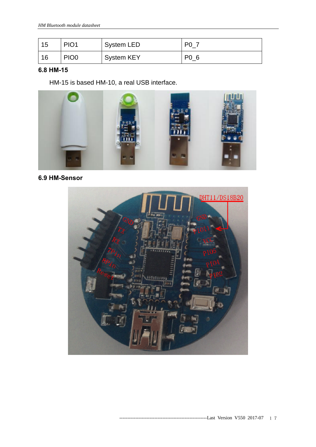| 15 | PIO <sub>1</sub> | <b>System LED</b> | P <sub>0</sub> |
|----|------------------|-------------------|----------------|
| 16 | PIO <sub>0</sub> | <b>System KEY</b> | P0 6           |

#### **6.8 HM-15**

HM-15 is based HM-10, a real USB interface.



**6.9 HM-Sensor** 

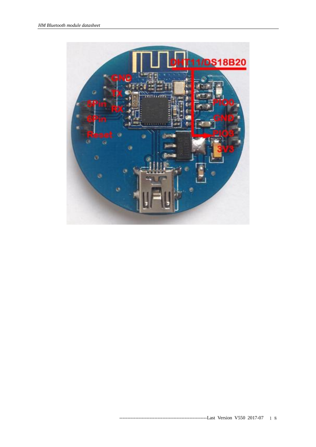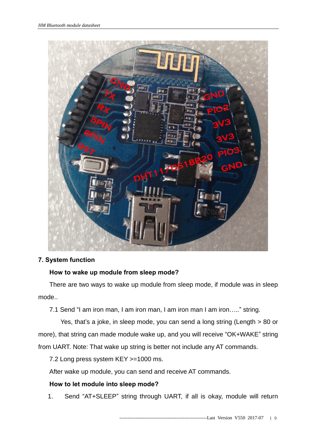

#### **7. System function**

#### **How to wake up module from sleep mode?**

There are two ways to wake up module from sleep mode, if module was in sleep mode..

7.1 Send "I am iron man, I am iron man, I am iron man I am iron….." string.

Yes, that's a joke, in sleep mode, you can send a long string (Length > 80 or more), that string can made module wake up, and you will receive "OK+WAKE" string from UART. Note: That wake up string is better not include any AT commands.

7.2 Long press system KEY >=1000 ms.

After wake up module, you can send and receive AT commands.

#### **How to let module into sleep mode?**

1. Send "AT+SLEEP" string through UART, if all is okay, module will return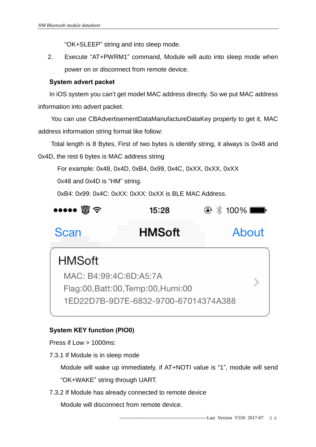"OK+SLEEP" string and into sleep mode.

2. Execute "AT+PWRM1" command, Module will auto into sleep mode when power on or disconnect from remote device.

#### **System advert packet**

In iOS system you can't get model MAC address directly. So we put MAC address information into advert packet.

You can use CBAdvertisementDataManufactureDataKey property to get it, MAC address information string format like follow:

Total length is 8 Bytes, First of two bytes is identify string, it always is 0x48 and 0x4D, the rest 6 bytes is MAC address string

For example: 0x48, 0x4D, 0xB4, 0x99, 0x4C, 0xXX, 0xXX, 0xXX

0x48 and 0x4D is "HM" string.

0xB4: 0x99: 0x4C: 0xXX: 0xXX: 0xXX is BLE MAC Address.

| $\bullet \bullet \bullet \bullet \mathcal{B} \diamond$ | 15:28                                                                      | $\oplus$ * 100% |
|--------------------------------------------------------|----------------------------------------------------------------------------|-----------------|
| Scan                                                   | <b>HMSoft</b>                                                              | About           |
| <b>HMSoft</b><br>MAC: B4:99:4C:6D:A5:7A                |                                                                            |                 |
|                                                        | Flag:00, Batt:00, Temp:00, Humi:00<br>1ED22D7B-9D7E-6832-9700-67014374A388 |                 |
|                                                        |                                                                            |                 |

#### **System KEY function (PIO0)**

Press if Low > 1000ms:

7.3.1 If Module is in sleep mode

Module will wake up immediately, if AT+NOTI value is "1", module will send "OK+WAKE" string through UART.

7.3.2 If Module has already connected to remote device

Module will disconnect from remote device.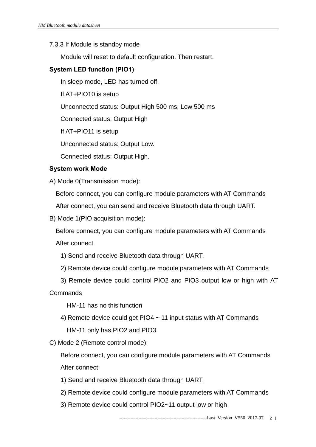#### 7.3.3 If Module is standby mode

Module will reset to default configuration. Then restart.

#### **System LED function (PIO1)**

In sleep mode, LED has turned off.

If AT+PIO10 is setup

Unconnected status: Output High 500 ms, Low 500 ms

Connected status: Output High

If AT+PIO11 is setup

Unconnected status: Output Low.

Connected status: Output High.

#### **System work Mode**

A) Mode 0(Transmission mode):

Before connect, you can configure module parameters with AT Commands

After connect, you can send and receive Bluetooth data through UART.

B) Mode 1(PIO acquisition mode):

Before connect, you can configure module parameters with AT Commands

After connect

- 1) Send and receive Bluetooth data through UART.
- 2) Remote device could configure module parameters with AT Commands
- 3) Remote device could control PIO2 and PIO3 output low or high with AT **Commands**

HM-11 has no this function

- 4) Remote device could get PIO4 ~ 11 input status with AT Commands HM-11 only has PIO2 and PIO3.
- C) Mode 2 (Remote control mode):

Before connect, you can configure module parameters with AT Commands After connect:

- 1) Send and receive Bluetooth data through UART.
- 2) Remote device could configure module parameters with AT Commands
- 3) Remote device could control PIO2~11 output low or high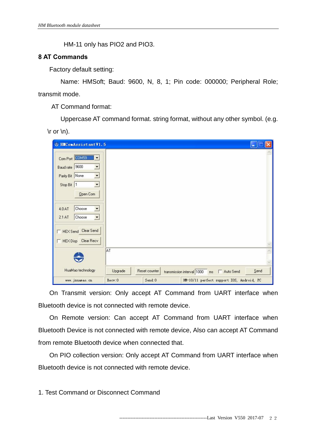HM-11 only has PIO2 and PIO3.

#### **8 AT Commands**

Factory default setting:

 Name: HMSoft; Baud: 9600, N, 8, 1; Pin code: 000000; Peripheral Role; transmit mode.

AT Command format:

Uppercase AT command format. string format, without any other symbol. (e.g.  $\text{tr}$  or  $\ln$ ).

| $\div$ HIIConAssistantV1.5                                                                                                                                                                                  |                |               |                                                                                            | H    |
|-------------------------------------------------------------------------------------------------------------------------------------------------------------------------------------------------------------|----------------|---------------|--------------------------------------------------------------------------------------------|------|
| Com Port COM59<br>$\overline{\phantom{a}}$<br>Baud rate   9600<br>$\blacksquare$<br>Parity Bit None<br>$\overline{\phantom{a}}$<br>$\blacktriangledown$<br>Stop Bit  1<br>Open Com<br>Choose<br>4.0AT<br>▼∣ |                |               |                                                                                            |      |
| Choose<br>2.1AT<br>$\blacktriangledown$<br>HEX Send Clear Send<br>HEX Disp Clear Recv                                                                                                                       |                |               |                                                                                            |      |
| HuaMao technology                                                                                                                                                                                           | AT.<br>Upgrade | Reset counter |                                                                                            | Send |
| www.jnuamao.cn                                                                                                                                                                                              | Recv:0         | Send:0        | transmission interval 1000<br>Auto Send<br>ms<br>HM-10/11 perfect support IOS, Android, PC |      |

On Transmit version: Only accept AT Command from UART interface when Bluetooth device is not connected with remote device.

On Remote version: Can accept AT Command from UART interface when Bluetooth Device is not connected with remote device, Also can accept AT Command from remote Bluetooth device when connected that.

On PIO collection version: Only accept AT Command from UART interface when Bluetooth device is not connected with remote device.

1. Test Command or Disconnect Command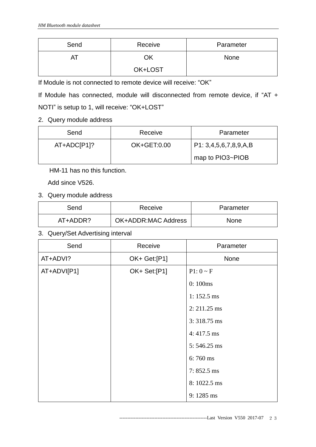| Send | Receive | Parameter   |
|------|---------|-------------|
|      | ОK      | <b>None</b> |
|      | OK+LOST |             |

If Module is not connected to remote device will receive: "OK"

If Module has connected, module will disconnected from remote device, if "AT + NOTI" is setup to 1, will receive: "OK+LOST"

#### 2. Query module address

| Send        | Receive     | Parameter             |
|-------------|-------------|-----------------------|
| AT+ADC[P1]? | OK+GET:0.00 | P1: 3,4,5,6,7,8,9,A,B |
|             |             | map to PIO3~PIOB      |

HM-11 has no this function.

Add since V526.

## 3. Query module address

| Send     | Receive                    | Parameter   |
|----------|----------------------------|-------------|
| AT+ADDR? | <b>OK+ADDR:MAC Address</b> | <b>None</b> |

#### 3. Query/Set Advertising interval

| Send        | Receive      | Parameter      |
|-------------|--------------|----------------|
| AT+ADVI?    | OK+ Get:[P1] | None           |
| AT+ADVI[P1] | OK+ Set:[P1] | $P1:0-P$       |
|             |              | 0:100ms        |
|             |              | $1:152.5$ ms   |
|             |              | $2: 211.25$ ms |
|             |              | $3:318.75$ ms  |
|             |              | $4:417.5$ ms   |
|             |              | 5:546.25 ms    |
|             |              | 6:760 ms       |
|             |              | $7:852.5$ ms   |
|             |              | 8:1022.5 ms    |
|             |              | 9:1285 ms      |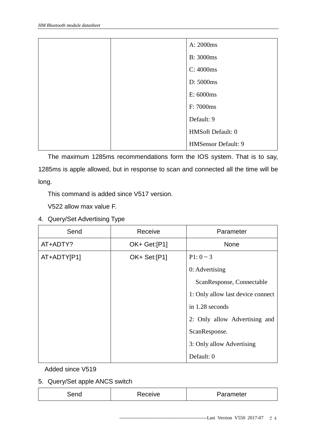|  | A: 2000ms                  |
|--|----------------------------|
|  | <b>B</b> : 3000ms          |
|  | C: 4000ms                  |
|  | D: 5000ms                  |
|  | E: 6000ms                  |
|  | F: 7000ms                  |
|  | Default: 9                 |
|  | HMS oft Default: 0         |
|  | <b>HMSensor Default: 9</b> |

The maximum 1285ms recommendations form the IOS system. That is to say, 1285ms is apple allowed, but in response to scan and connected all the time will be long.

This command is added since V517 version.

V522 allow max value F.

4. Query/Set Advertising Type

| Send        | Receive      | Parameter                         |
|-------------|--------------|-----------------------------------|
| AT+ADTY?    | OK+ Get:[P1] | <b>None</b>                       |
| AT+ADTY[P1] | OK+ Set:[P1] | $P1: 0 \sim 3$                    |
|             |              | 0: Advertising                    |
|             |              | ScanResponse, Connectable         |
|             |              | 1: Only allow last device connect |
|             |              | in 1.28 seconds                   |
|             |              | 2: Only allow Advertising and     |
|             |              | ScanResponse.                     |
|             |              | 3: Only allow Advertising         |
|             |              | Default: 0                        |

#### Added since V519

#### 5. Query/Set apple ANCS switch

| iend | Receive | Parameter |
|------|---------|-----------|
|      |         |           |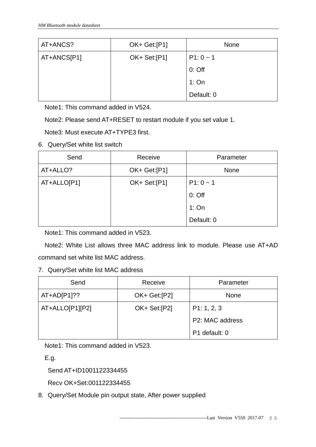| AT+ANCS?    | OK+ Get:[P1] | None        |
|-------------|--------------|-------------|
| AT+ANCS[P1] | OK+ Set:[P1] | $P1: 0 - 1$ |
|             |              | $0:$ Off    |
|             |              | 1:On        |
|             |              | Default: 0  |

Note1: This command added in V524.

Note2: Please send AT+RESET to restart module if you set value 1.

Note3: Must execute AT+TYPE3 first.

6. Query/Set white list switch

| Send        | Receive      | Parameter   |
|-------------|--------------|-------------|
| AT+ALLO?    | OK+ Get:[P1] | None        |
| AT+ALLO[P1] | OK+ Set:[P1] | $P1: 0 - 1$ |
|             |              | $0:$ Off    |
|             |              | 1:On        |
|             |              | Default: 0  |

Note1: This command added in V523.

Note2: White List allows three MAC address link to module. Please use AT+AD command set white list MAC address.

#### 7. Query/Set white list MAC address

| Send            | Receive      | Parameter       |
|-----------------|--------------|-----------------|
| $AT+AD[P1]$ ?   | OK+ Get:[P2] | <b>None</b>     |
| AT+ALLO[P1][P2] | OK+ Set:[P2] | P1: 1, 2, 3     |
|                 |              | P2: MAC address |
|                 |              | P1 default: 0   |

Note1: This command added in V523.

E.g.

Send AT+ID1001122334455

Recv OK+Set:001122334455

8. Query/Set Module pin output state, After power supplied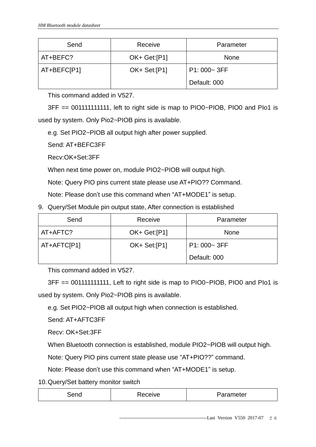| Send        | Receive      | Parameter    |
|-------------|--------------|--------------|
| AT+BEFC?    | OK+ Get:[P1] | <b>None</b>  |
| AT+BEFC[P1] | OK+ Set:[P1] | P1: 000~3FF  |
|             |              | Default: 000 |

This command added in V527.

3FF == 001111111111, left to right side is map to PIO0~PIOB, PIO0 and PIo1 is used by system. Only Pio2~PIOB pins is available.

e.g. Set PIO2~PIOB all output high after power supplied.

Send: AT+BEFC3FF

Recv:OK+Set:3FF

When next time power on, module PIO2~PIOB will output high.

Note: Query PIO pins current state please use AT+PIO?? Command.

Note: Please don't use this command when "AT+MODE1" is setup.

9. Query/Set Module pin output state, After connection is established

| Send        | Receive      | Parameter    |
|-------------|--------------|--------------|
| AT+AFTC?    | OK+ Get:[P1] | None         |
| AT+AFTC[P1] | OK+ Set:[P1] | P1: 000~3FF  |
|             |              | Default: 000 |

This command added in V527.

3FF == 001111111111, Left to right side is map to PIO0~PIOB, PIO0 and PIo1 is used by system. Only Pio2~PIOB pins is available.

e.g. Set PIO2~PIOB all output high when connection is established.

Send: AT+AFTC3FF

Recv: OK+Set:3FF

When Bluetooth connection is established, module PIO2~PIOB will output high.

Note: Query PIO pins current state please use "AT+PIO??" command.

Note: Please don't use this command when "AT+MODE1" is setup.

10.Query/Set battery monitor switch

|  |  |  | ---<br>. ڪ∟ |
|--|--|--|-------------|
|--|--|--|-------------|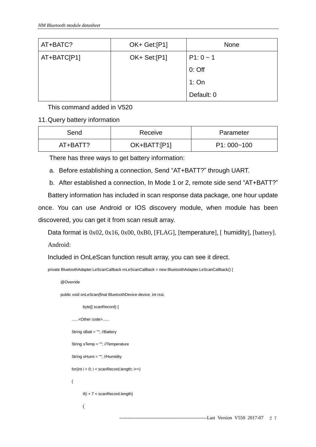| AT+BATC?    | OK+ Get:[P1] | None        |
|-------------|--------------|-------------|
| AT+BATC[P1] | OK+ Set:[P1] | $P1: 0 - 1$ |
|             |              | $0:$ Off    |
|             |              | 1:On        |
|             |              | Default: 0  |

This command added in V520

#### 11.Query battery information

| Send     | Receive      | Parameter   |
|----------|--------------|-------------|
| AT+BATT? | OK+BATT:[P1] | P1: 000~100 |

There has three ways to get battery information:

a. Before establishing a connection, Send "AT+BATT?" through UART.

b. After established a connection, In Mode 1 or 2, remote side send "AT+BATT?"

Battery information has included in scan response data package, one hour update once. You can use Android or IOS discovery module, when module has been discovered, you can get it from scan result array.

Data format is  $0x02$ ,  $0x16$ ,  $0x00$ ,  $0xB0$ , [FLAG], [temperature], [humidity], [battery].

Android:

Included in OnLeScan function result array, you can see it direct.

private BluetoothAdapter.LeScanCallback mLeScanCallback = new BluetoothAdapter.LeScanCallback() {

@Override

public void onLeScan(final BluetoothDevice device, int rssi,

 byte[] scanRecord) { ......<Other code>...... String sBatt = ""; //Battery String sTemp = ""; //Temperature String sHumi = ""; //Humidity for(int  $i = 0$ ;  $i <$  scanRecord.length;  $i++$ ) { if(i + 7 < scanRecord.length) {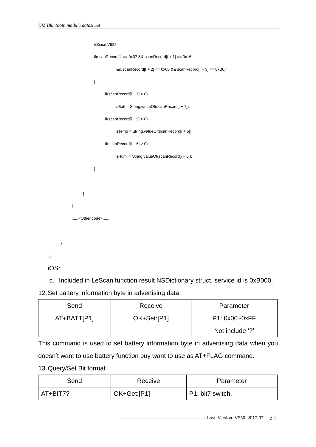```
 //Since V522 
                    if(scanRecord[i] == 0x07 && scanRecord[i + 1] == 0x16& scanRecord[1 + 2] == 0x00 & scanRecord[1 + 3] == 0x00\{ if(scanRecord[i + 7] > 0) 
                               sBatt = String.valueOf(scanRecord[i + 7]);
                          if(scanRecord[i + 5] > 0) 
                               sTemp = String.valueOf(scanRecord[i + 5]);
                          if(scanRecord[i + 6] > 0) 
                               sHumi = String.valueOf(scanRecord[i + 6]);
} 
} 
          } 
          ......<Other code>...... 
   }
```
iOS:

};

c. Included in LeScan function result NSDictionary struct, service id is 0xB000.

#### 12.Set battery information byte in advertising data

| Send        | Receive     | Parameter         |
|-------------|-------------|-------------------|
| AT+BATT[P1] | OK+Set:[P1] | $P1: 0x00 - 0xFF$ |
|             |             | Not include '?'   |

This command is used to set battery information byte in advertising data when you doesn't want to use battery function buy want to use as AT+FLAG command.

#### 13.Query/Set Bit format

| Send     | Receive     | Parameter        |
|----------|-------------|------------------|
| AT+BIT7? | OK+Get:[P1] | P1: bit7 switch. |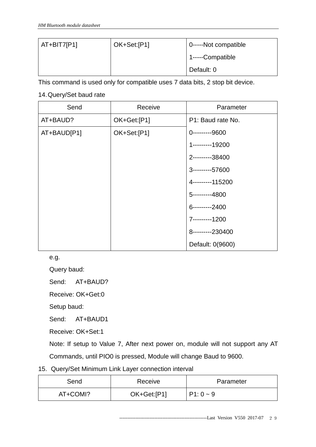| AT+BIT7[P1] | OK+Set:[P1] | 0-----Not compatible |
|-------------|-------------|----------------------|
|             |             | 1-----Compatible     |
|             |             | Default: 0           |

This command is used only for compatible uses 7 data bits, 2 stop bit device.

#### 14.Query/Set baud rate

| Send        | Receive     | Parameter         |
|-------------|-------------|-------------------|
| AT+BAUD?    | OK+Get:[P1] | P1: Baud rate No. |
| AT+BAUD[P1] | OK+Set:[P1] | 0---------9600    |
|             |             | 1---------19200   |
|             |             | 2---------38400   |
|             |             | 3----------57600  |
|             |             | 4---------115200  |
|             |             | 5---------4800    |
|             |             | 6---------2400    |
|             |             | 7---------1200    |
|             |             | 8---------230400  |
|             |             | Default: 0(9600)  |

e.g.

Query baud:

Send: AT+BAUD?

Receive: OK+Get:0

Setup baud:

Send: AT+BAUD1

Receive: OK+Set:1

Note: If setup to Value 7, After next power on, module will not support any AT Commands, until PIO0 is pressed, Module will change Baud to 9600.

15. Query/Set Minimum Link Layer connection interval

| Send     | Receive     | Parameter |
|----------|-------------|-----------|
| AT+COMI? | OK+Get:[P1] | $P1:0-9$  |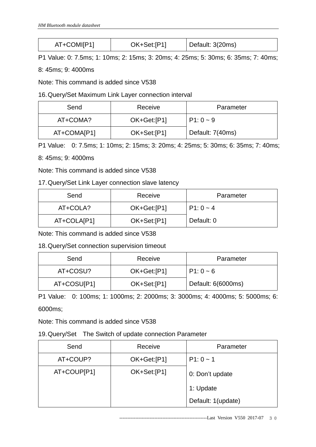| AT+COMI[P1] | OK+Set:[P1] | Default: 3(20ms) |  |
|-------------|-------------|------------------|--|
|-------------|-------------|------------------|--|

P1 Value: 0: 7.5ms; 1: 10ms; 2: 15ms; 3: 20ms; 4: 25ms; 5: 30ms; 6: 35ms; 7: 40ms;

8: 45ms; 9: 4000ms

Note: This command is added since V538

16.Query/Set Maximum Link Layer connection interval

| Send        | Receive     | Parameter        |
|-------------|-------------|------------------|
| AT+COMA?    | OK+Get:[P1] | $P1:0-9$         |
| AT+COMA[P1] | OK+Set:[P1] | Default: 7(40ms) |

P1 Value: 0: 7.5ms; 1: 10ms; 2: 15ms; 3: 20ms; 4: 25ms; 5: 30ms; 6: 35ms; 7: 40ms;

8: 45ms; 9: 4000ms

Note: This command is added since V538

#### 17.Query/Set Link Layer connection slave latency

| Send        | Receive     | Parameter  |
|-------------|-------------|------------|
| AT+COLA?    | OK+Get:[P1] | $P1:0 - 4$ |
| AT+COLA[P1] | OK+Set:[P1] | Default: 0 |

Note: This command is added since V538

18.Query/Set connection supervision timeout

| Send        | Receive     | Parameter          |
|-------------|-------------|--------------------|
| AT+COSU?    | OK+Get:[P1] | $P1:0-6$           |
| AT+COSU[P1] | OK+Set:[P1] | Default: 6(6000ms) |

P1 Value: 0: 100ms; 1: 1000ms; 2: 2000ms; 3: 3000ms; 4: 4000ms; 5: 5000ms; 6: 6000ms;

Note: This command is added since V538

19.Query/Set The Switch of update connection Parameter

| Send        | Receive     | Parameter          |
|-------------|-------------|--------------------|
| AT+COUP?    | OK+Get:[P1] | $P1: 0 \sim 1$     |
| AT+COUP[P1] | OK+Set:[P1] | 0: Don't update    |
|             |             | 1: Update          |
|             |             | Default: 1(update) |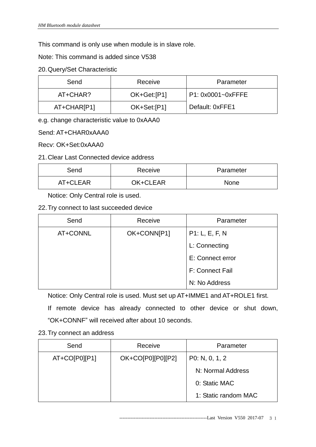This command is only use when module is in slave role.

Note: This command is added since V538

#### 20.Query/Set Characteristic

| Send        | Receive     | Parameter         |
|-------------|-------------|-------------------|
| AT+CHAR?    | OK+Get:[P1] | P1: 0x0001~0xFFFE |
| AT+CHAR[P1] | OK+Set:[P1] | Default: 0xFFE1   |

e.g. change characteristic value to 0xAAA0

Send: AT+CHAR0xAAA0

Recv: OK+Set:0xAAA0

#### 21.Clear Last Connected device address

| Send     | Receive  | Parameter   |
|----------|----------|-------------|
| AT+CLEAR | OK+CLEAR | <b>None</b> |

Notice: Only Central role is used.

#### 22.Try connect to last succeeded device

| Send     | Receive     | Parameter        |
|----------|-------------|------------------|
| AT+CONNL | OK+CONN[P1] | P1: L, E, F, N   |
|          |             | L: Connecting    |
|          |             | E: Connect error |
|          |             | F: Connect Fail  |
|          |             | N: No Address    |

Notice: Only Central role is used. Must set up AT+IMME1 and AT+ROLE1 first.

If remote device has already connected to other device or shut down, "OK+CONNF" will received after about 10 seconds.

#### 23.Try connect an address

| Send            | Receive           | Parameter            |
|-----------------|-------------------|----------------------|
| $AT+CO[PO][P1]$ | OK+CO[P0][P0][P2] | P0: N, 0, 1, 2       |
|                 |                   | N: Normal Address    |
|                 |                   | 0: Static MAC        |
|                 |                   | 1: Static random MAC |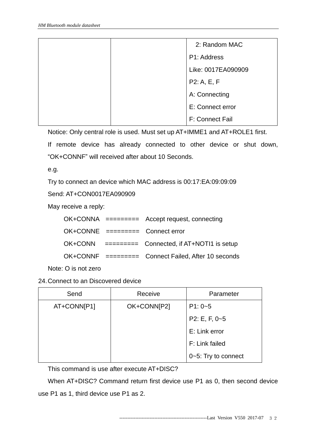| 2: Random MAC      |
|--------------------|
| P1: Address        |
| Like: 0017EA090909 |
| P2: A, E, F        |
| A: Connecting      |
| E: Connect error   |
| F: Connect Fail    |

Notice: Only central role is used. Must set up AT+IMME1 and AT+ROLE1 first.

If remote device has already connected to other device or shut down, "OK+CONNF" will received after about 10 Seconds.

e.g.

Try to connect an device which MAC address is 00:17:EA:09:09:09

Send: AT+CON0017EA090909

May receive a reply:

| OK+CONNA             | =========            | Accept request, connecting              |
|----------------------|----------------------|-----------------------------------------|
|                      | $OK+CONNE$ ========= | Connect error                           |
| OK+CONN              |                      | Connected, if AT+NOTI1 is setup         |
| $OK+CONNF$ ========= |                      | <b>Connect Failed, After 10 seconds</b> |
|                      |                      |                                         |

Note: O is not zero

24.Connect to an Discovered device

| Send        | Receive     | Parameter           |
|-------------|-------------|---------------------|
| AT+CONN[P1] | OK+CONN[P2] | $P1: 0 - 5$         |
|             |             | $P2: E, F, 0-5$     |
|             |             | E: Link error       |
|             |             | F: Link failed      |
|             |             | 0~5: Try to connect |

This command is use after execute AT+DISC?

When AT+DISC? Command return first device use P1 as 0, then second device use P1 as 1, third device use P1 as 2.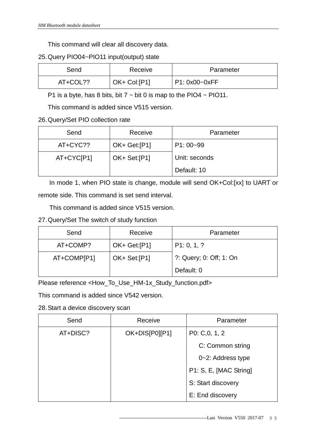This command will clear all discovery data.

#### 25.Query PIO04~PIO11 input(output) state

| Send     | Receive      | Parameter     |
|----------|--------------|---------------|
| AT+COL?? | OK+ Col:[P1] | P1: 0x00~0xFF |

P1 is a byte, has 8 bits, bit  $7 \sim$  bit 0 is map to the PIO4  $\sim$  PIO11.

This command is added since V515 version.

26.Query/Set PIO collection rate

| Send       | Receive      | Parameter     |
|------------|--------------|---------------|
| AT+CYC??   | OK+ Get:[P1] | $P1:00-99$    |
| AT+CYC[P1] | OK+ Set:[P1] | Unit: seconds |
|            |              | Default: 10   |

In mode 1, when PIO state is change, module will send OK+Col:[xx] to UART or remote side. This command is set send interval.

This command is added since V515 version.

#### 27.Query/Set The switch of study function

| Send        | Receive      | Parameter               |
|-------------|--------------|-------------------------|
| AT+COMP?    | OK+ Get:[P1] | P1: 0, 1, ?             |
| AT+COMP[P1] | OK+ Set:[P1] | ?: Query; 0: Off; 1: On |
|             |              | Default: 0              |

Please reference <How\_To\_Use\_HM-1x\_Study\_function.pdf>

This command is added since V542 version.

28.Start a device discovery scan

| Send     | Receive        | Parameter              |
|----------|----------------|------------------------|
| AT+DISC? | OK+DIS[P0][P1] | P0: C,0, 1, 2          |
|          |                | C: Common string       |
|          |                | $0 - 2$ : Address type |
|          |                | P1: S, E, [MAC String] |
|          |                | S: Start discovery     |
|          |                | E: End discovery       |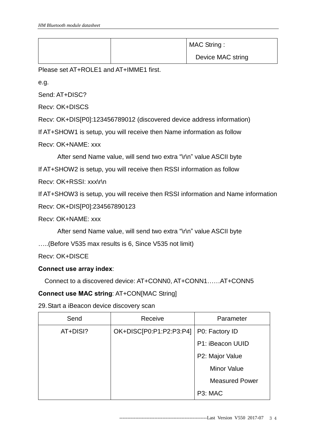|  | MAC String:       |
|--|-------------------|
|  | Device MAC string |

Please set AT+ROLE1 and AT+IMME1 first.

e.g.

Send: AT+DISC?

Recv: OK+DISCS

Recv: OK+DIS[P0]:123456789012 (discovered device address information)

If AT+SHOW1 is setup, you will receive then Name information as follow

Recv: OK+NAME: xxx

After send Name value, will send two extra "\r\n" value ASCII byte

If AT+SHOW2 is setup, you will receive then RSSI information as follow

Recv: OK+RSSI: xxx\r\n

If AT+SHOW3 is setup, you will receive then RSSI information and Name information

Recv: OK+DIS[P0]:234567890123

Recv: OK+NAME: xxx

After send Name value, will send two extra "\r\n" value ASCII byte

…..(Before V535 max results is 6, Since V535 not limit)

Recv: OK+DISCE

#### **Connect use array index**:

Connect to a discovered device: AT+CONN0, AT+CONN1……AT+CONN5

#### **Connect use MAC string**: AT+CON[MAC String]

29.Start a iBeacon device discovery scan

| Send     | Receive                 | Parameter             |
|----------|-------------------------|-----------------------|
| AT+DISI? | OK+DISC[P0:P1:P2:P3:P4] | P0: Factory ID        |
|          |                         | P1: iBeacon UUID      |
|          |                         | P2: Major Value       |
|          |                         | <b>Minor Value</b>    |
|          |                         | <b>Measured Power</b> |
|          |                         | P3: MAC               |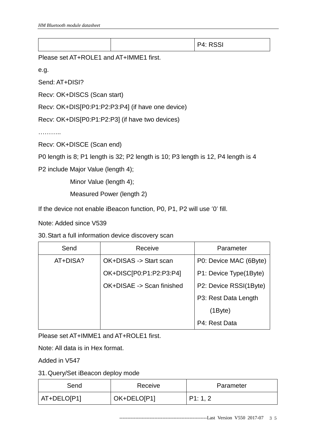|--|

Please set AT+ROLE1 and AT+IMME1 first.

e.g.

Send: AT+DISI?

Recv: OK+DISCS (Scan start)

Recv: OK+DIS[P0:P1:P2:P3:P4] (if have one device)

Recv: OK+DIS[P0:P1:P2:P3] (if have two devices)

………..

Recv: OK+DISCE (Scan end)

P0 length is 8; P1 length is 32; P2 length is 10; P3 length is 12, P4 length is 4

P2 include Major Value (length 4);

Minor Value (length 4);

Measured Power (length 2)

If the device not enable iBeacon function, P0, P1, P2 will use '0' fill.

Note: Added since V539

30.Start a full information device discovery scan

| Send     | Receive                   | Parameter              |
|----------|---------------------------|------------------------|
| AT+DISA? | OK+DISAS -> Start scan    | P0: Device MAC (6Byte) |
|          | OK+DISC[P0:P1:P2:P3:P4]   | P1: Device Type(1Byte) |
|          | OK+DISAE -> Scan finished | P2: Device RSSI(1Byte) |
|          |                           | P3: Rest Data Length   |
|          |                           | $(1$ Byte $)$          |
|          |                           | P4: Rest Data          |

Please set AT+IMME1 and AT+ROLE1 first.

Note: All data is in Hex format.

Added in V547

31.Query/Set iBeacon deploy mode

| Send        | Receive     | Parameter |
|-------------|-------------|-----------|
| AT+DELO[P1] | OK+DELO[P1] | P1:1,2    |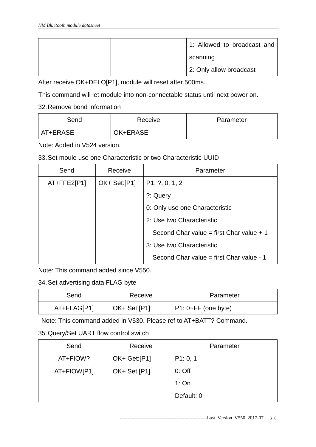| 1: Allowed to broadcast and |  |
|-----------------------------|--|
| scanning                    |  |
| 2: Only allow broadcast     |  |

After receive OK+DELO[P1], module will reset after 500ms.

This command will let module into non-connectable status until next power on.

32.Remove bond information

| Send       | Receive  | Parameter |
|------------|----------|-----------|
| ' AT+ERASE | OK+ERASE |           |

Note: Added in V524 version.

#### 33.Set moule use one Characteristic or two Characteristic UUID

| Send            | Receive      | Parameter                                 |
|-----------------|--------------|-------------------------------------------|
| $AT + FFE2[P1]$ | OK+ Set:[P1] | P1: ?, 0, 1, 2                            |
|                 |              | ?: Query                                  |
|                 |              | 0: Only use one Characteristic            |
|                 |              | 2: Use two Characteristic                 |
|                 |              | Second Char value = first Char value $+1$ |
|                 |              | 3: Use two Characteristic                 |
|                 |              | Second Char value = first Char value - 1  |

Note: This command added since V550.

## 34.Set advertising data FLAG byte

| Send        | Receive      | Parameter                  |
|-------------|--------------|----------------------------|
| AT+FLAG[P1] | OK+ Set:[P1] | $P1: 0 \sim FF$ (one byte) |

Note: This command added in V530. Please ref to AT+BATT? Command.

#### 35.Query/Set UART flow control switch

| Send        | Receive      | Parameter  |
|-------------|--------------|------------|
| AT+FIOW?    | OK+ Get:[P1] | P1: 0, 1   |
| AT+FIOW[P1] | OK+ Set:[P1] | $0:$ Off   |
|             |              | 1:On       |
|             |              | Default: 0 |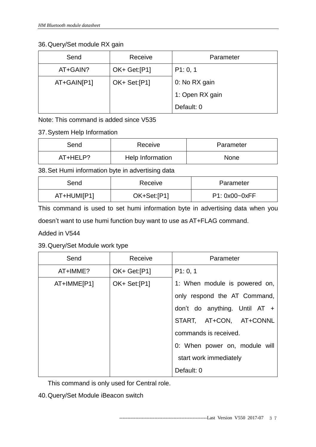#### 36.Query/Set module RX gain

| Send        | Receive      | Parameter       |
|-------------|--------------|-----------------|
| AT+GAIN?    | OK+ Get:[P1] | P1: 0, 1        |
| AT+GAIN[P1] | OK+ Set:[P1] | 0: No RX gain   |
|             |              | 1: Open RX gain |
|             |              | Default: 0      |

Note: This command is added since V535

#### 37.System Help Information

| Send     | Receive          | Parameter   |
|----------|------------------|-------------|
| AT+HELP? | Help Information | <b>None</b> |

38.Set Humi information byte in advertising data

| Send        | Receive     | Parameter         |
|-------------|-------------|-------------------|
| AT+HUMI[P1] | OK+Set:[P1] | $P1: 0x00 - 0xFF$ |

This command is used to set humi information byte in advertising data when you doesn't want to use humi function buy want to use as AT+FLAG command.

#### Added in V544

#### 39.Query/Set Module work type

| Send        | Receive      | Parameter                     |
|-------------|--------------|-------------------------------|
| AT+IMME?    | OK+ Get:[P1] | P1: 0, 1                      |
| AT+IMME[P1] | OK+ Set:[P1] | 1: When module is powered on, |
|             |              | only respond the AT Command,  |
|             |              | don't do anything. Until AT + |
|             |              | START, AT+CON, AT+CONNL       |
|             |              | commands is received.         |
|             |              | 0: When power on, module will |
|             |              | start work immediately        |
|             |              | Default: 0                    |

This command is only used for Central role.

40.Query/Set Module iBeacon switch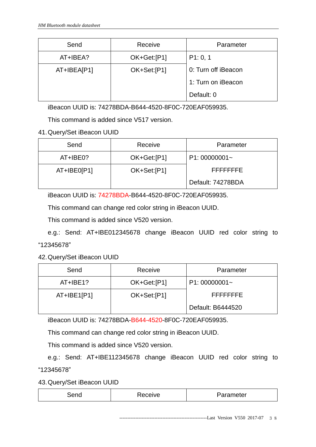| Send        | Receive     | Parameter           |
|-------------|-------------|---------------------|
| AT+IBEA?    | OK+Get:[P1] | P1: 0, 1            |
| AT+IBEA[P1] | OK+Set:[P1] | 0: Turn off iBeacon |
|             |             | 1: Turn on iBeacon  |
|             |             | Default: 0          |

iBeacon UUID is: 74278BDA-B644-4520-8F0C-720EAF059935.

This command is added since V517 version.

41.Query/Set iBeacon UUID

| Send        | Receive     | Parameter         |
|-------------|-------------|-------------------|
| AT+IBE0?    | OK+Get:[P1] | $P1:00000001-$    |
| AT+IBE0[P1] | OK+Set:[P1] | <b>FFFFFFFFE</b>  |
|             |             | Default: 74278BDA |

iBeacon UUID is: 74278BDA-B644-4520-8F0C-720EAF059935.

This command can change red color string in iBeacon UUID.

This command is added since V520 version.

e.g.: Send: AT+IBE012345678 change iBeacon UUID red color string to "12345678"

#### 42.Query/Set iBeacon UUID

| Send          | Receive     | Parameter         |
|---------------|-------------|-------------------|
| $AT+IBE1?$    | OK+Get:[P1] | $P1:00000001-$    |
| $AT+IBE1[P1]$ | OK+Set:[P1] | FFFFFFFF          |
|               |             | Default: B6444520 |

iBeacon UUID is: 74278BDA-B644-4520-8F0C-720EAF059935.

This command can change red color string in iBeacon UUID.

This command is added since V520 version.

e.g.: Send: AT+IBE112345678 change iBeacon UUID red color string to "12345678"

43.Query/Set iBeacon UUID

| rameter<br>eceive<br>$\sim$ $\sim$ |
|------------------------------------|
|------------------------------------|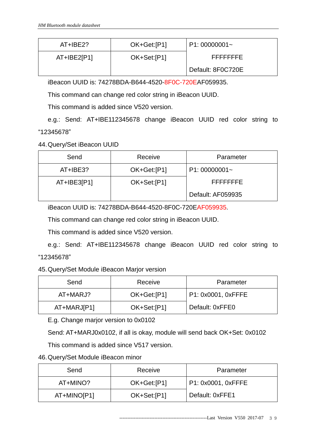| $AT+IBE2?$    | OK+Get:[P1] | $P1:00000001-$    |
|---------------|-------------|-------------------|
| $AT+IBE2[P1]$ | OK+Set:[P1] | FFFFFFFF          |
|               |             | Default: 8F0C720E |

iBeacon UUID is: 74278BDA-B644-4520-8F0C-720EAF059935.

This command can change red color string in iBeacon UUID.

This command is added since V520 version.

e.g.: Send: AT+IBE112345678 change iBeacon UUID red color string to "12345678"

44.Query/Set iBeacon UUID

| Send          | Receive     | Parameter         |
|---------------|-------------|-------------------|
| AT+IBE3?      | OK+Get:[P1] | $P1: 00000001 -$  |
| $AT+IBE3[P1]$ | OK+Set:[P1] | <b>FFFFFFFE</b>   |
|               |             | Default: AF059935 |

iBeacon UUID is: 74278BDA-B644-4520-8F0C-720EAF059935.

This command can change red color string in iBeacon UUID.

This command is added since V520 version.

e.g.: Send: AT+IBE112345678 change iBeacon UUID red color string to "12345678"

45.Query/Set Module iBeacon Marjor version

| Send        | Receive     | Parameter          |
|-------------|-------------|--------------------|
| AT+MARJ?    | OK+Get:[P1] | P1: 0x0001, 0xFFFE |
| AT+MARJ[P1] | OK+Set:[P1] | Default: 0xFFE0    |

E.g. Change marjor version to 0x0102

Send: AT+MARJ0x0102, if all is okay, module will send back OK+Set: 0x0102

This command is added since V517 version.

#### 46.Query/Set Module iBeacon minor

| Send        | Receive     | Parameter          |
|-------------|-------------|--------------------|
| AT+MINO?    | OK+Get:[P1] | P1: 0x0001, 0xFFFE |
| AT+MINO[P1] | OK+Set:[P1] | Default: 0xFFE1    |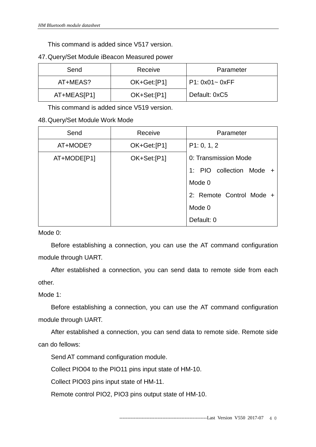This command is added since V517 version.

#### 47.Query/Set Module iBeacon Measured power

| Send        | Receive     | Parameter         |
|-------------|-------------|-------------------|
| AT+MEAS?    | OK+Get:[P1] | $P1: 0x01 - 0xFF$ |
| AT+MEAS[P1] | OK+Set:[P1] | Default: 0xC5     |

This command is added since V519 version.

#### 48.Query/Set Module Work Mode

| Send        | Receive     | Parameter                |
|-------------|-------------|--------------------------|
| AT+MODE?    | OK+Get:[P1] | P1: 0, 1, 2              |
| AT+MODE[P1] | OK+Set:[P1] | 0: Transmission Mode     |
|             |             | 1: PIO collection Mode + |
|             |             | Mode 0                   |
|             |             | 2: Remote Control Mode + |
|             |             | Mode 0                   |
|             |             | Default: 0               |

Mode 0:

Before establishing a connection, you can use the AT command configuration module through UART.

After established a connection, you can send data to remote side from each other.

Mode 1:

Before establishing a connection, you can use the AT command configuration module through UART.

After established a connection, you can send data to remote side. Remote side can do fellows:

Send AT command configuration module.

Collect PIO04 to the PIO11 pins input state of HM-10.

Collect PIO03 pins input state of HM-11.

Remote control PIO2, PIO3 pins output state of HM-10.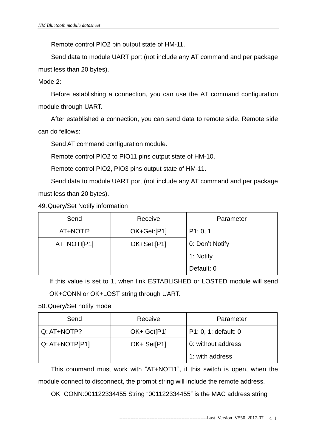Remote control PIO2 pin output state of HM-11.

Send data to module UART port (not include any AT command and per package must less than 20 bytes).

Mode 2:

Before establishing a connection, you can use the AT command configuration module through UART.

After established a connection, you can send data to remote side. Remote side can do fellows:

Send AT command configuration module.

Remote control PIO2 to PIO11 pins output state of HM-10.

Remote control PIO2, PIO3 pins output state of HM-11.

Send data to module UART port (not include any AT command and per package must less than 20 bytes).

49.Query/Set Notify information

| Send        | Receive     | Parameter       |
|-------------|-------------|-----------------|
| AT+NOTI?    | OK+Get:[P1] | P1: 0, 1        |
| AT+NOTI[P1] | OK+Set:[P1] | 0: Don't Notify |
|             |             | 1: Notify       |
|             |             | Default: 0      |

If this value is set to 1, when link ESTABLISHED or LOSTED module will send OK+CONN or OK+LOST string through UART.

50.Query/Set notify mode

| Send             | Receive     | Parameter            |
|------------------|-------------|----------------------|
| Q: AT+NOTP?      | OK+ Get[P1] | P1: 0, 1; default: 0 |
| $Q: AT+NOTP[P1]$ | OK+ Set[P1] | 0: without address   |
|                  |             | 1: with address      |

This command must work with "AT+NOTI1", if this switch is open, when the module connect to disconnect, the prompt string will include the remote address.

OK+CONN:001122334455 String "001122334455" is the MAC address string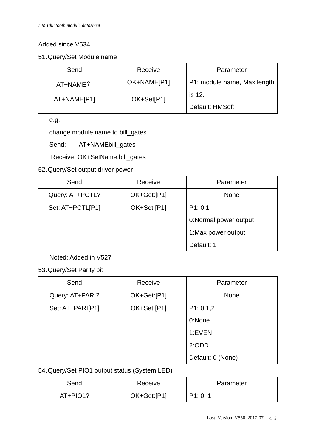#### Added since V534

#### 51.Query/Set Module name

| Send          | Receive     | Parameter                   |
|---------------|-------------|-----------------------------|
| $AT + NAME$ ? | OK+NAME[P1] | P1: module name, Max length |
| AT+NAME[P1]   | OK+Set[P1]  | is 12.<br>Default: HMSoft   |

e.g.

change module name to bill\_gates

Send: AT+NAMEbill\_gates

Receive: OK+SetName:bill\_gates

#### 52.Query/Set output driver power

| Send             | Receive     | Parameter             |  |
|------------------|-------------|-----------------------|--|
| Query: AT+PCTL?  | OK+Get:[P1] | <b>None</b>           |  |
| Set: AT+PCTL[P1] | OK+Set:[P1] | P1: 0,1               |  |
|                  |             | 0:Normal power output |  |
|                  |             | 1: Max power output   |  |
|                  |             | Default: 1            |  |

Noted: Added in V527

53.Query/Set Parity bit

| Send             | Receive     | Parameter         |
|------------------|-------------|-------------------|
| Query: AT+PARI?  | OK+Get:[P1] | None              |
| Set: AT+PARI[P1] | OK+Set:[P1] | P1: 0,1,2         |
|                  |             | 0:None            |
|                  |             | 1:EVEN            |
|                  |             | 2:ODD             |
|                  |             | Default: 0 (None) |

#### 54.Query/Set PIO1 output status (System LED)

| Send         | Receive     | Parameter |
|--------------|-------------|-----------|
| $AT + PIO1?$ | OK+Get:[P1] | P1:0,1    |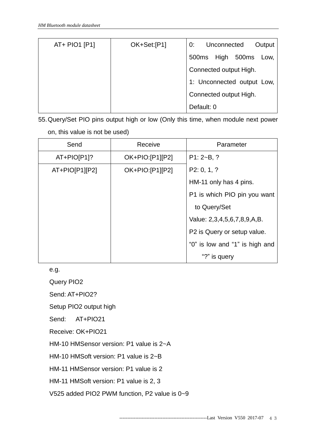| AT+ PIO1 [P1] | OK+Set:[P1] | Unconnected<br>0:<br>Output    |
|---------------|-------------|--------------------------------|
|               |             | 500ms<br>High<br>500ms<br>Low, |
|               |             | Connected output High.         |
|               |             | 1: Unconnected output Low,     |
|               |             | Connected output High.         |
|               |             | Default: 0                     |

55.Query/Set PIO pins output high or low (Only this time, when module next power on, this value is not be used)

| Send             | Receive         | Parameter                      |
|------------------|-----------------|--------------------------------|
| AT+PIO[P1]?      | OK+PIO:[P1][P2] | $P1: 2 - B, ?$                 |
| $AT+PIO[P1][P2]$ | OK+PIO:[P1][P2] | P2: 0, 1, ?                    |
|                  |                 | HM-11 only has 4 pins.         |
|                  |                 | P1 is which PIO pin you want   |
|                  |                 | to Query/Set                   |
|                  |                 | Value: 2,3,4,5,6,7,8,9,A,B.    |
|                  |                 | P2 is Query or setup value.    |
|                  |                 | "0" is low and "1" is high and |
|                  |                 | "?" is query                   |

e.g.

Query PIO2

Send: AT+PIO2?

Setup PIO2 output high

Send: AT+PIO21

Receive: OK+PIO21

HM-10 HMSensor version: P1 value is 2~A

HM-10 HMSoft version: P1 value is 2~B

HM-11 HMSensor version: P1 value is 2

HM-11 HMSoft version: P1 value is 2, 3

V525 added PIO2 PWM function, P2 value is 0~9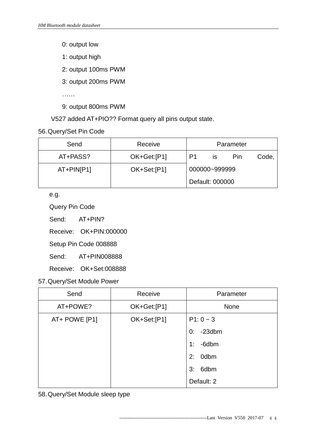0: output low

1: output high

2: output 100ms PWM

3: output 200ms PWM

……

9: output 800ms PWM

V527 added AT+PIO?? Format query all pins output state.

56.Query/Set Pin Code

| Send         | Receive     |    |                 | Parameter |       |
|--------------|-------------|----|-----------------|-----------|-------|
| AT+PASS?     | OK+Get:[P1] | P1 | <b>IS</b>       | Pin       | Code, |
| $AT+PIN[P1]$ | OK+Set:[P1] |    | 000000~999999   |           |       |
|              |             |    | Default: 000000 |           |       |

e.g.

Query Pin Code

Send: AT+PIN?

Receive: OK+PIN:000000

Setup Pin Code 008888

Send: AT+PIN008888

Receive: OK+Set:008888

#### 57.Query/Set Module Power

| Send          | Receive     | Parameter       |
|---------------|-------------|-----------------|
| AT+POWE?      | OK+Get:[P1] | <b>None</b>     |
| AT+ POWE [P1] | OK+Set:[P1] | $P1: 0 - 3$     |
|               |             | $-23$ dbm<br>0: |
|               |             | -6dbm<br>1:     |
|               |             | 0dbm<br>2:      |
|               |             | 6dbm<br>3:      |
|               |             | Default: 2      |

58.Query/Set Module sleep type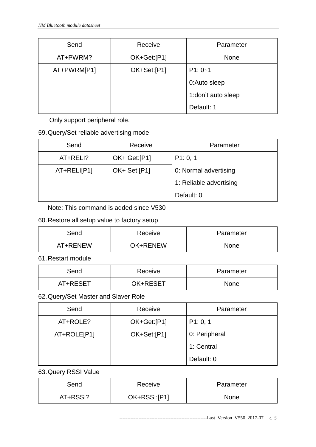| Send        | Receive     | Parameter          |  |
|-------------|-------------|--------------------|--|
| AT+PWRM?    | OK+Get:[P1] | <b>None</b>        |  |
| AT+PWRM[P1] | OK+Set:[P1] | $P1: 0 - 1$        |  |
|             |             | 0:Auto sleep       |  |
|             |             | 1:don't auto sleep |  |
|             |             | Default: 1         |  |

Only support peripheral role.

#### 59.Query/Set reliable advertising mode

| Send        | Receive      | Parameter               |
|-------------|--------------|-------------------------|
| AT+RELI?    | OK+ Get:[P1] | P1: 0, 1                |
| AT+RELI[P1] | OK+ Set:[P1] | 0: Normal advertising   |
|             |              | 1: Reliable advertising |
|             |              | Default: 0              |

Note: This command is added since V530

#### 60.Restore all setup value to factory setup

| Send     | Receive         | Parameter |
|----------|-----------------|-----------|
| AT+RENEW | <b>OK+RENEW</b> | None      |

61.Restart module

| Send     | Receive  | Parameter   |
|----------|----------|-------------|
| AT+RESET | OK+RESET | <b>None</b> |

## 62.Query/Set Master and Slaver Role

| Send        | Receive     | Parameter     |  |
|-------------|-------------|---------------|--|
| AT+ROLE?    | OK+Get:[P1] | P1: 0, 1      |  |
| AT+ROLE[P1] | OK+Set:[P1] | 0: Peripheral |  |
|             |             | 1: Central    |  |
|             |             | Default: 0    |  |

### 63.Query RSSI Value

| Send     | Receive      | Parameter   |
|----------|--------------|-------------|
| AT+RSSI? | OK+RSSI:[P1] | <b>None</b> |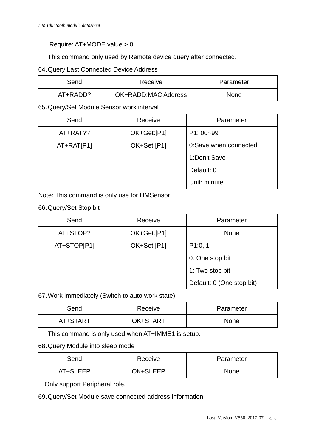#### Require: AT+MODE value > 0

This command only used by Remote device query after connected.

#### 64.Query Last Connected Device Address

| Send     | Receive             | Parameter   |
|----------|---------------------|-------------|
| AT+RADD? | OK+RADD:MAC Address | <b>None</b> |

65.Query/Set Module Sensor work interval

| Send       | Receive     | Parameter             |
|------------|-------------|-----------------------|
| AT+RAT??   | OK+Get:[P1] | $P1:00-99$            |
| AT+RAT[P1] | OK+Set:[P1] | 0:Save when connected |
|            |             | 1:Don't Save          |
|            |             | Default: 0            |
|            |             | Unit: minute          |

Note: This command is only use for HMSensor

#### 66.Query/Set Stop bit

| Send        | Receive     | Parameter                 |
|-------------|-------------|---------------------------|
| AT+STOP?    | OK+Get:[P1] | <b>None</b>               |
| AT+STOP[P1] | OK+Set:[P1] | P1:0, 1                   |
|             |             | 0: One stop bit           |
|             |             | 1: Two stop bit           |
|             |             | Default: 0 (One stop bit) |

#### 67.Work immediately (Switch to auto work state)

| Send     | Receive  | Parameter   |
|----------|----------|-------------|
| AT+START | OK+START | <b>None</b> |

This command is only used when AT+IMME1 is setup.

#### 68.Query Module into sleep mode

| Send     | Receive  | Parameter   |
|----------|----------|-------------|
| AT+SLEEP | OK+SLEEP | <b>None</b> |

Only support Peripheral role.

69.Query/Set Module save connected address information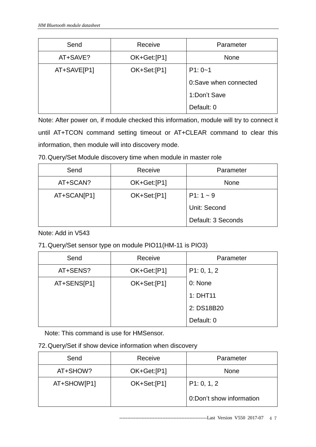| Send        | Receive     | Parameter             |
|-------------|-------------|-----------------------|
| AT+SAVE?    | OK+Get:[P1] | <b>None</b>           |
| AT+SAVE[P1] | OK+Set:[P1] | $P1: 0 - 1$           |
|             |             | 0:Save when connected |
|             |             | 1:Don't Save          |
|             |             | Default: 0            |

Note: After power on, if module checked this information, module will try to connect it until AT+TCON command setting timeout or AT+CLEAR command to clear this information, then module will into discovery mode.

70.Query/Set Module discovery time when module in master role

| Send        | Receive     | Parameter          |
|-------------|-------------|--------------------|
| AT+SCAN?    | OK+Get:[P1] | <b>None</b>        |
| AT+SCAN[P1] | OK+Set:[P1] | $P1:1 - 9$         |
|             |             | Unit: Second       |
|             |             | Default: 3 Seconds |

Note: Add in V543

#### 71.Query/Set sensor type on module PIO11(HM-11 is PIO3)

| Send        | Receive     | Parameter   |
|-------------|-------------|-------------|
| AT+SENS?    | OK+Get:[P1] | P1: 0, 1, 2 |
| AT+SENS[P1] | OK+Set:[P1] | 0: None     |
|             |             | 1: DHT11    |
|             |             | 2: DS18B20  |
|             |             | Default: 0  |

Note: This command is use for HMSensor.

## 72.Query/Set if show device information when discovery

| Send        | Receive     | Parameter                |
|-------------|-------------|--------------------------|
| AT+SHOW?    | OK+Get:[P1] | <b>None</b>              |
| AT+SHOW[P1] | OK+Set:[P1] | P1: 0, 1, 2              |
|             |             | 0:Don't show information |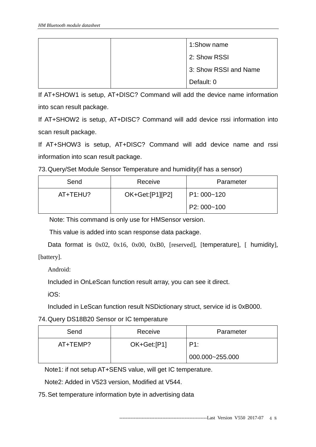|  | 1:Show name           |
|--|-----------------------|
|  | 2: Show RSSI          |
|  | 3: Show RSSI and Name |
|  | Default: 0            |

If AT+SHOW1 is setup, AT+DISC? Command will add the device name information into scan result package.

If AT+SHOW2 is setup, AT+DISC? Command will add device rssi information into scan result package.

If AT+SHOW3 is setup, AT+DISC? Command will add device name and rssi information into scan result package.

73.Query/Set Module Sensor Temperature and humidity(if has a sensor)

| Send     | Receive         | Parameter   |
|----------|-----------------|-------------|
| AT+TEHU? | OK+Get:[P1][P2] | P1: 000~120 |
|          |                 | P2: 000~100 |

Note: This command is only use for HMSensor version.

This value is added into scan response data package.

Data format is  $0x02$ ,  $0x16$ ,  $0x00$ ,  $0xB0$ , [reserved], [temperature], [ humidity], [battery].

Android:

Included in OnLeScan function result array, you can see it direct.

iOS:

Included in LeScan function result NSDictionary struct, service id is 0xB000.

74.Query DS18B20 Sensor or IC temperature

| Send     | Receive     | Parameter       |
|----------|-------------|-----------------|
| AT+TEMP? | OK+Get:[P1] | P1:             |
|          |             | 000.000~255.000 |

Note1: if not setup AT+SENS value, will get IC temperature.

Note2: Added in V523 version, Modified at V544.

75.Set temperature information byte in advertising data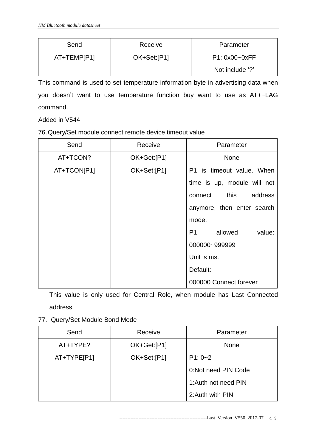| Send        | Receive     | Parameter         |
|-------------|-------------|-------------------|
| AT+TEMP[P1] | OK+Set:[P1] | $P1: 0x00 - 0xFF$ |
|             |             | Not include '?'   |

This command is used to set temperature information byte in advertising data when you doesn't want to use temperature function buy want to use as AT+FLAG command.

Added in V544

|  |  | 76. Query/Set module connect remote device timeout value |
|--|--|----------------------------------------------------------|
|--|--|----------------------------------------------------------|

| Send        | Receive     | Parameter                      |
|-------------|-------------|--------------------------------|
| AT+TCON?    | OK+Get:[P1] | <b>None</b>                    |
| AT+TCON[P1] | OK+Set:[P1] | P1 is timeout value. When      |
|             |             | time is up, module will not    |
|             |             | this<br>address<br>connect     |
|             |             | anymore, then enter search     |
|             |             | mode.                          |
|             |             | <b>P1</b><br>allowed<br>value: |
|             |             | 000000~999999                  |
|             |             | Unit is ms.                    |
|             |             | Default:                       |
|             |             | 000000 Connect forever         |

This value is only used for Central Role, when module has Last Connected address.

#### 77. Query/Set Module Bond Mode

| Send        | Receive     | Parameter            |
|-------------|-------------|----------------------|
| AT+TYPE?    | OK+Get:[P1] | <b>None</b>          |
| AT+TYPE[P1] | OK+Set:[P1] | $P1: 0 - 2$          |
|             |             | 0:Not need PIN Code  |
|             |             | 1: Auth not need PIN |
|             |             | 2: Auth with PIN     |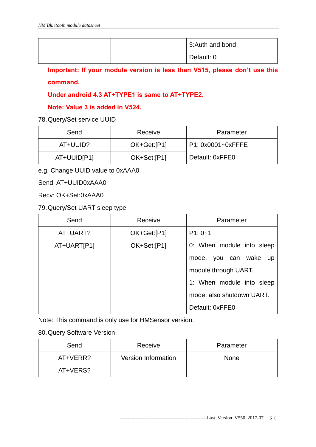|  | 3: Auth and bond |
|--|------------------|
|  | Default: 0       |

**Important: If your module version is less than V515, please don't use this command.** 

#### **Under android 4.3 AT+TYPE1 is same to AT+TYPE2.**

#### **Note: Value 3 is added in V524.**

78.Query/Set service UUID

| Send        | Receive     | Parameter         |
|-------------|-------------|-------------------|
| AT+UUID?    | OK+Get:[P1] | P1: 0x0001~0xFFFE |
| AT+UUID[P1] | OK+Set:[P1] | Default: 0xFFE0   |

e.g. Change UUID value to 0xAAA0

Send: AT+UUID0xAAA0

Recv: OK+Set:0xAAA0

79.Query/Set UART sleep type

| Send        | Receive     | Parameter                       |
|-------------|-------------|---------------------------------|
| AT+UART?    | OK+Get:[P1] | $P1: 0 - 1$                     |
| AT+UART[P1] | OK+Set:[P1] | 0: When module into sleep       |
|             |             | mode, you can wake<br><b>up</b> |
|             |             | module through UART.            |
|             |             | 1: When module into sleep       |
|             |             | mode, also shutdown UART.       |
|             |             | Default: 0xFFE0                 |

Note: This command is only use for HMSensor version.

#### 80.Query Software Version

| Send     | Receive             | Parameter   |
|----------|---------------------|-------------|
| AT+VERR? | Version Information | <b>None</b> |
| AT+VERS? |                     |             |